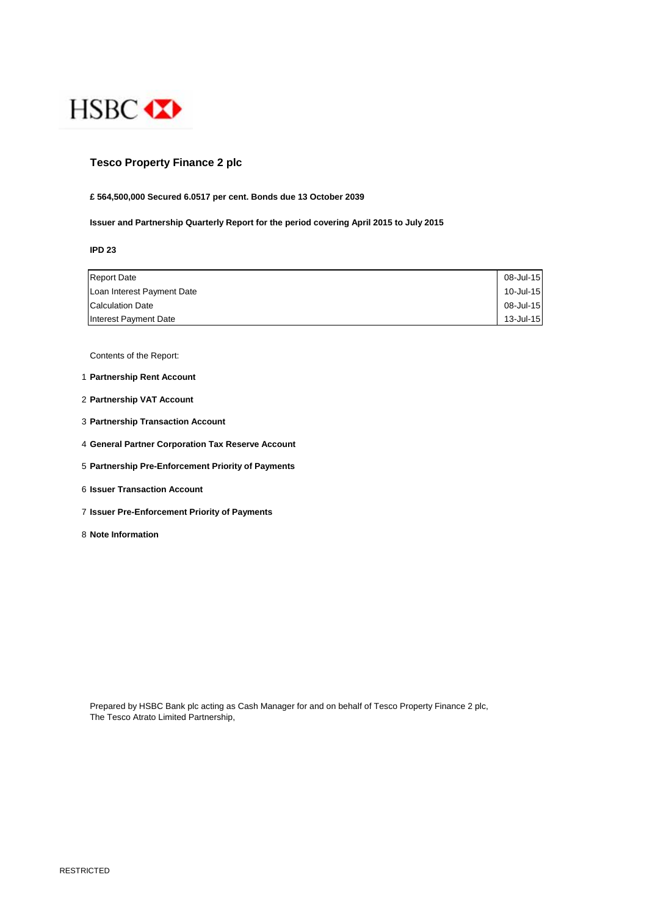

# **Tesco Property Finance 2 plc**

## **£ 564,500,000 Secured 6.0517 per cent. Bonds due 13 October 2039**

**Issuer and Partnership Quarterly Report for the period covering April 2015 to July 2015**

**IPD 23**

| <b>Report Date</b>         | 08-Jul-15    |
|----------------------------|--------------|
| Loan Interest Payment Date | $10$ -Jul-15 |
| <b>Calculation Date</b>    | 08-Jul-15    |
| Interest Payment Date      | 13-Jul-15    |

Contents of the Report:

- 1 **Partnership Rent Account**
- 2 **Partnership VAT Account**
- 3 **Partnership Transaction Account**
- 4 **General Partner Corporation Tax Reserve Account**
- 5 **Partnership Pre-Enforcement Priority of Payments**
- 6 **Issuer Transaction Account**
- 7 **Issuer Pre-Enforcement Priority of Payments**
- 8 **Note Information**

Prepared by HSBC Bank plc acting as Cash Manager for and on behalf of Tesco Property Finance 2 plc, The Tesco Atrato Limited Partnership,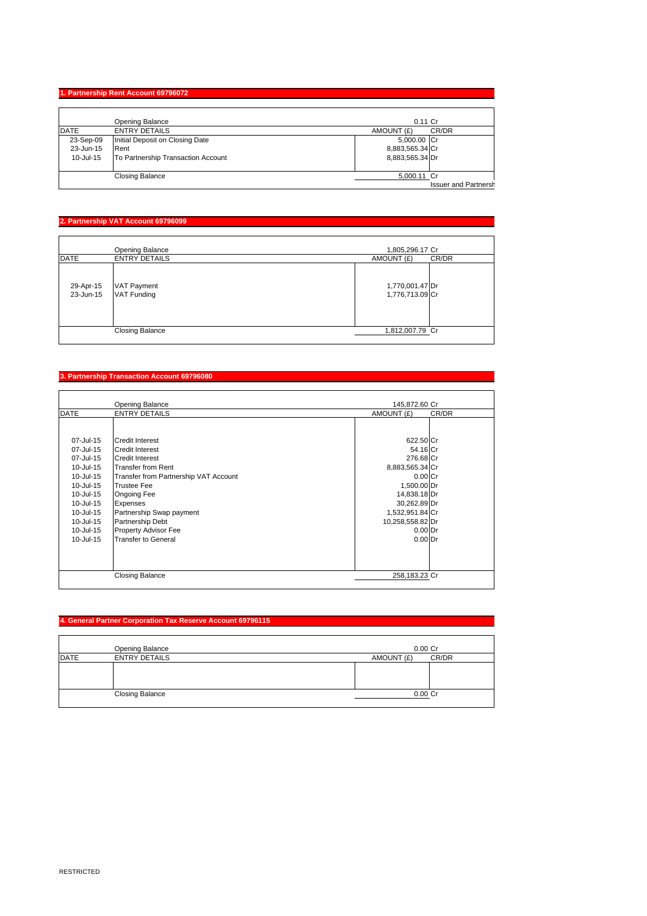### **1. Partnership Rent Account 69796072**

|             | Opening Balance                    | $0.11$ Cr                   |
|-------------|------------------------------------|-----------------------------|
| <b>DATE</b> | <b>ENTRY DETAILS</b>               | CR/DR<br>AMOUNT (£)         |
| 23-Sep-09   | Initial Deposit on Closing Date    | 5,000.00 Cr                 |
| 23-Jun-15   | Rent                               | 8,883,565.34 Cr             |
| 10-Jul-15   | To Partnership Transaction Account | 8,883,565.34 Dr             |
|             |                                    |                             |
|             | <b>Closing Balance</b>             | 5,000.11 Cr                 |
|             |                                    | <b>Issuer and Partnersh</b> |

### **2. Partnership VAT Account 69796099**

|                        | Opening Balance                          | 1,805,296.17 Cr                    |
|------------------------|------------------------------------------|------------------------------------|
| <b>DATE</b>            | <b>ENTRY DETAILS</b>                     | CR/DR<br>AMOUNT (£)                |
| 29-Apr-15<br>23-Jun-15 | <b>VAT Payment</b><br><b>VAT Funding</b> | 1,770,001.47 Dr<br>1,776,713.09 Cr |
|                        | <b>Closing Balance</b>                   | 1,812,007.79 Cr                    |

#### **3. Partnership Transaction Account 69796080**

|             | Opening Balance                       | 145,872.60 Cr       |
|-------------|---------------------------------------|---------------------|
| <b>DATE</b> | <b>ENTRY DETAILS</b>                  | AMOUNT (£)<br>CR/DR |
|             |                                       |                     |
| 07-Jul-15   | <b>Credit Interest</b>                | 622.50 Cr           |
| 07-Jul-15   | <b>Credit Interest</b>                | 54.16 Cr            |
| 07-Jul-15   | <b>Credit Interest</b>                | 276.68 Cr           |
| 10-Jul-15   | <b>Transfer from Rent</b>             | 8,883,565.34 Cr     |
| 10-Jul-15   | Transfer from Partnership VAT Account | $0.00C$ r           |
| 10-Jul-15   | <b>Trustee Fee</b>                    | 1,500.00 Dr         |
| 10-Jul-15   | Ongoing Fee                           | 14,838.18 Dr        |
| 10-Jul-15   | Expenses                              | 30,262.89 Dr        |
| 10-Jul-15   | Partnership Swap payment              | 1,532,951.84 Cr     |
| 10-Jul-15   | <b>Partnership Debt</b>               | 10,258,558.82 Dr    |
| 10-Jul-15   | Property Advisor Fee                  | $0.00$ Dr           |
| 10-Jul-15   | <b>Transfer to General</b>            | $0.00$ Dr           |
|             | <b>Closing Balance</b>                | 258,183.23 Cr       |

### **4. General Partner Corporation Tax Reserve Account 69796115**

|             | Opening Balance        | $0.00C$ r           |
|-------------|------------------------|---------------------|
| <b>DATE</b> | <b>ENTRY DETAILS</b>   | CR/DR<br>AMOUNT (£) |
|             |                        |                     |
|             |                        |                     |
|             |                        |                     |
|             | <b>Closing Balance</b> | $0.00$ Cr           |
|             |                        |                     |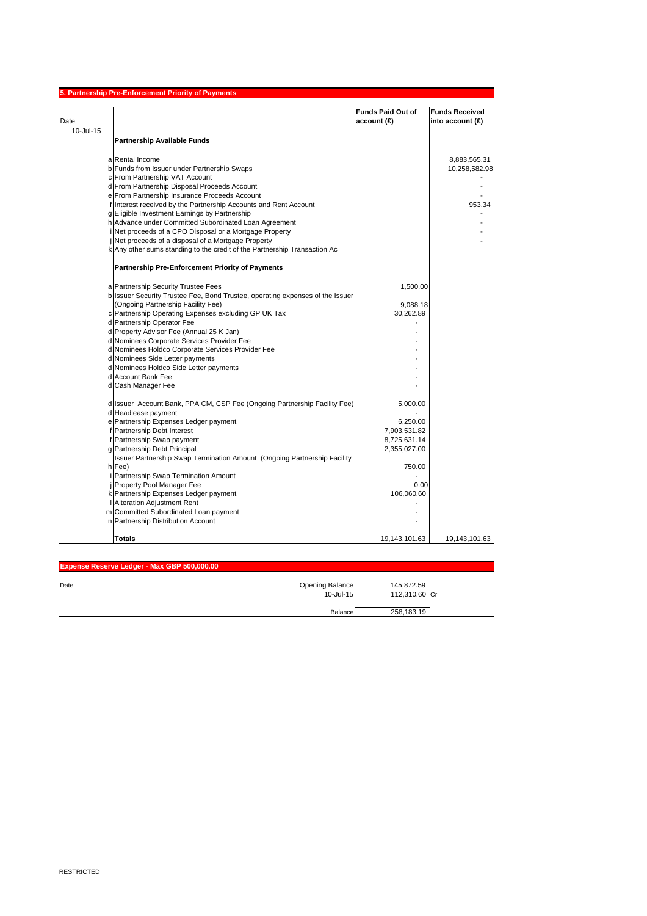|           | 5. Partnership Pre-Enforcement Priority of Payments                                                            |                          |                       |
|-----------|----------------------------------------------------------------------------------------------------------------|--------------------------|-----------------------|
|           |                                                                                                                | <b>Funds Paid Out of</b> | <b>Funds Received</b> |
| Date      |                                                                                                                | account (£)              | into account (£)      |
| 10-Jul-15 |                                                                                                                |                          |                       |
|           | <b>Partnership Available Funds</b>                                                                             |                          |                       |
|           |                                                                                                                |                          |                       |
|           | a Rental Income                                                                                                |                          | 8,883,565.31          |
|           | b Funds from Issuer under Partnership Swaps                                                                    |                          | 10,258,582.98         |
|           | c From Partnership VAT Account                                                                                 |                          |                       |
|           | d From Partnership Disposal Proceeds Account                                                                   |                          |                       |
|           | e From Partnership Insurance Proceeds Account                                                                  |                          |                       |
|           | f Interest received by the Partnership Accounts and Rent Account                                               |                          | 953.34                |
|           | g Eligible Investment Earnings by Partnership                                                                  |                          |                       |
|           | h Advance under Committed Subordinated Loan Agreement<br>Net proceeds of a CPO Disposal or a Mortgage Property |                          |                       |
|           | Net proceeds of a disposal of a Mortgage Property                                                              |                          |                       |
|           | k Any other sums standing to the credit of the Partnership Transaction Ac                                      |                          |                       |
|           |                                                                                                                |                          |                       |
|           | <b>Partnership Pre-Enforcement Priority of Payments</b>                                                        |                          |                       |
|           |                                                                                                                |                          |                       |
|           | a Partnership Security Trustee Fees                                                                            | 1,500.00                 |                       |
|           | b Issuer Security Trustee Fee, Bond Trustee, operating expenses of the Issuer                                  |                          |                       |
|           | (Ongoing Partnership Facility Fee)<br>c Partnership Operating Expenses excluding GP UK Tax                     | 9,088.18<br>30,262.89    |                       |
|           | d Partnership Operator Fee                                                                                     |                          |                       |
|           | d Property Advisor Fee (Annual 25 K Jan)                                                                       |                          |                       |
|           | d Nominees Corporate Services Provider Fee                                                                     |                          |                       |
|           | d Nominees Holdco Corporate Services Provider Fee                                                              |                          |                       |
|           | d Nominees Side Letter payments                                                                                |                          |                       |
|           | d Nominees Holdco Side Letter payments                                                                         |                          |                       |
|           | d Account Bank Fee                                                                                             |                          |                       |
|           | d Cash Manager Fee                                                                                             |                          |                       |
|           |                                                                                                                |                          |                       |
|           | d Issuer Account Bank, PPA CM, CSP Fee (Ongoing Partnership Facility Fee)                                      | 5,000.00                 |                       |
|           | d Headlease payment                                                                                            |                          |                       |
|           | e Partnership Expenses Ledger payment                                                                          | 6,250.00                 |                       |
|           | f Partnership Debt Interest                                                                                    | 7,903,531.82             |                       |
|           | f Partnership Swap payment                                                                                     | 8,725,631.14             |                       |
|           | g Partnership Debt Principal                                                                                   | 2,355,027.00             |                       |
|           | Issuer Partnership Swap Termination Amount (Ongoing Partnership Facility                                       |                          |                       |
|           | h Fee)<br>Partnership Swap Termination Amount                                                                  | 750.00                   |                       |
|           | Property Pool Manager Fee                                                                                      | 0.00                     |                       |
|           | k Partnership Expenses Ledger payment                                                                          | 106,060.60               |                       |
|           | <b>Alteration Adjustment Rent</b>                                                                              |                          |                       |
|           | m Committed Subordinated Loan payment                                                                          |                          |                       |
|           | n Partnership Distribution Account                                                                             |                          |                       |
|           |                                                                                                                |                          |                       |
|           | Totals                                                                                                         | 19,143,101.63            | 19,143,101.63         |

| Expense Reserve Ledger - Max GBP 500,000.00 |                 |               |  |
|---------------------------------------------|-----------------|---------------|--|
| Date                                        | Opening Balance | 145,872.59    |  |
|                                             | $10 -$ Jul-15   | 112.310.60 Cr |  |
|                                             | Balance         | 258,183.19    |  |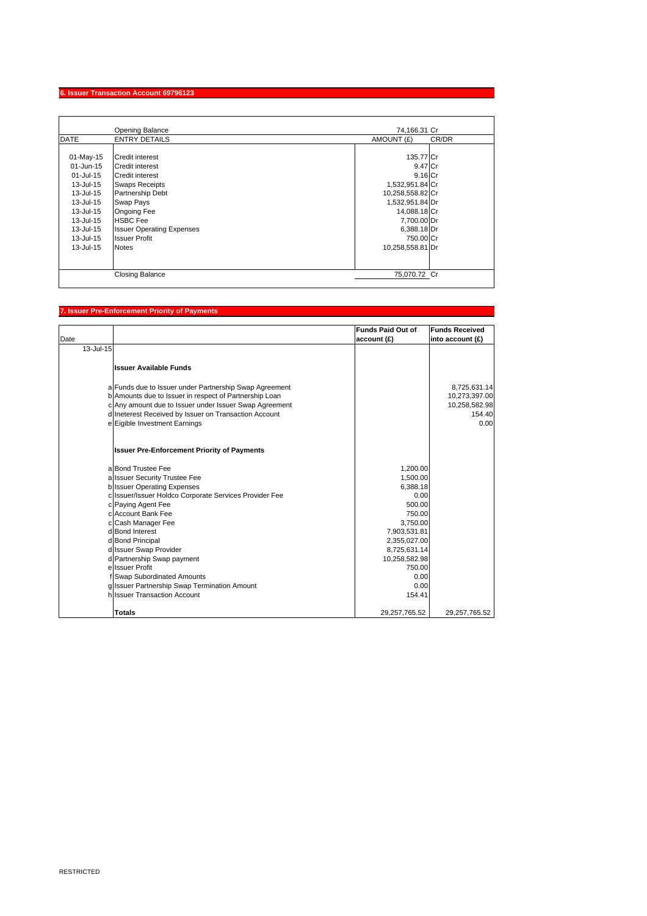### **6. Issuer Transaction Account 69796123**

|                                                                                                                                             | Opening Balance                                                                                                                                                                                                                             | 74.166.31 Cr                                                                                                                                                               |       |
|---------------------------------------------------------------------------------------------------------------------------------------------|---------------------------------------------------------------------------------------------------------------------------------------------------------------------------------------------------------------------------------------------|----------------------------------------------------------------------------------------------------------------------------------------------------------------------------|-------|
| <b>DATE</b>                                                                                                                                 | <b>ENTRY DETAILS</b>                                                                                                                                                                                                                        | AMOUNT (£)                                                                                                                                                                 | CR/DR |
| 01-May-15<br>01-Jun-15<br>01-Jul-15<br>13-Jul-15<br>13-Jul-15<br>13-Jul-15<br>13-Jul-15<br>13-Jul-15<br>13-Jul-15<br>13-Jul-15<br>13-Jul-15 | Credit interest<br>Credit interest<br><b>Credit interest</b><br><b>Swaps Receipts</b><br>Partnership Debt<br>Swap Pays<br><b>Ongoing Fee</b><br><b>HSBC</b> Fee<br><b>Issuer Operating Expenses</b><br><b>Issuer Profit</b><br><b>Notes</b> | 135.77 Cr<br>9.47 Cr<br>$9.16$ Cr<br>1,532,951.84 Cr<br>10,258,558.82 Cr<br>1,532,951.84 Dr<br>14,088.18 Cr<br>7,700.00 Dr<br>6,388.18 Dr<br>750.00 Cr<br>10,258,558.81 Dr |       |
|                                                                                                                                             | <b>Closing Balance</b>                                                                                                                                                                                                                      | 75.070.72 Cr                                                                                                                                                               |       |

## **7. Issuer Pre-Enforcement Priority of Payments**

| Date      |                                                        | <b>Funds Paid Out of</b><br>account (£) | <b>Funds Received</b><br>into account (£) |
|-----------|--------------------------------------------------------|-----------------------------------------|-------------------------------------------|
| 13-Jul-15 |                                                        |                                         |                                           |
|           | <b>Issuer Available Funds</b>                          |                                         |                                           |
|           | a Funds due to Issuer under Partnership Swap Agreement |                                         | 8,725,631.14                              |
|           | b Amounts due to Issuer in respect of Partnership Loan |                                         | 10,273,397.00                             |
|           | c Any amount due to Issuer under Issuer Swap Agreement |                                         | 10,258,582.98                             |
|           | d Ineterest Received by Issuer on Transaction Account  |                                         | 154.40                                    |
|           | e Eigible Investment Earnings                          |                                         | 0.00                                      |
|           | <b>Issuer Pre-Enforcement Priority of Payments</b>     |                                         |                                           |
|           | a Bond Trustee Fee                                     | 1,200.00                                |                                           |
|           | a Issuer Security Trustee Fee                          | 1,500.00                                |                                           |
|           | b Issuer Operating Expenses                            | 6,388.18                                |                                           |
|           | c Issuer/Issuer Holdco Corporate Services Provider Fee | 0.00                                    |                                           |
|           | c Paying Agent Fee                                     | 500.00                                  |                                           |
|           | c Account Bank Fee                                     | 750.00                                  |                                           |
|           | c Cash Manager Fee                                     | 3,750.00                                |                                           |
|           | d Bond Interest                                        | 7,903,531.81                            |                                           |
|           | d Bond Principal<br>d Issuer Swap Provider             | 2,355,027.00                            |                                           |
|           | d Partnership Swap payment                             | 8,725,631.14<br>10,258,582.98           |                                           |
|           | e Issuer Profit                                        | 750.00                                  |                                           |
|           | f Swap Subordinated Amounts                            | 0.00                                    |                                           |
|           | g Issuer Partnership Swap Termination Amount           | 0.00                                    |                                           |
|           | hilssuer Transaction Account                           | 154.41                                  |                                           |
|           | <b>Totals</b>                                          | 29,257,765.52                           | 29,257,765.52                             |